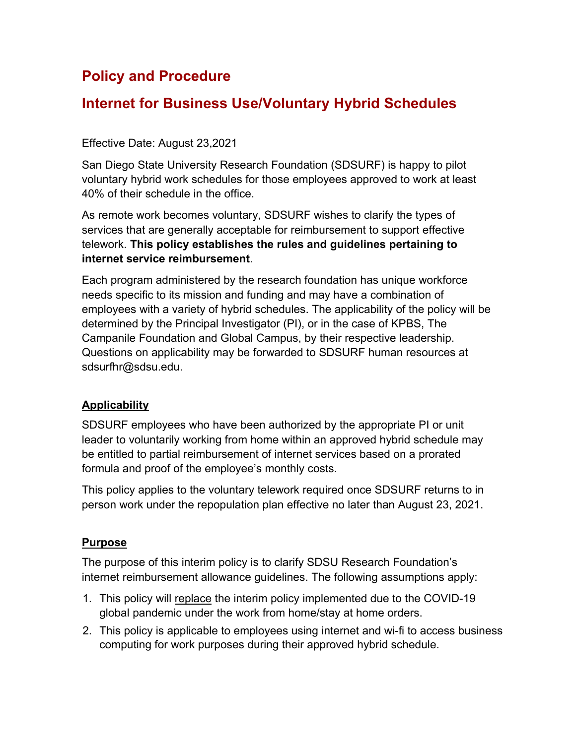# **Policy and Procedure**

# **Internet for Business Use/Voluntary Hybrid Schedules**

#### Effective Date: August 23,2021

San Diego State University Research Foundation (SDSURF) is happy to pilot voluntary hybrid work schedules for those employees approved to work at least 40% of their schedule in the office.

As remote work becomes voluntary, SDSURF wishes to clarify the types of services that are generally acceptable for reimbursement to support effective telework. **This policy establishes the rules and guidelines pertaining to internet service reimbursement**.

Each program administered by the research foundation has unique workforce needs specific to its mission and funding and may have a combination of employees with a variety of hybrid schedules. The applicability of the policy will be determined by the Principal Investigator (PI), or in the case of KPBS, The Campanile Foundation and Global Campus, by their respective leadership. Questions on applicability may be forwarded to SDSURF human resources at sdsurfhr@sdsu.edu.

### **Applicability**

SDSURF employees who have been authorized by the appropriate PI or unit leader to voluntarily working from home within an approved hybrid schedule may be entitled to partial reimbursement of internet services based on a prorated formula and proof of the employee's monthly costs.

This policy applies to the voluntary telework required once SDSURF returns to in person work under the repopulation plan effective no later than August 23, 2021.

#### **Purpose**

The purpose of this interim policy is to clarify SDSU Research Foundation's internet reimbursement allowance guidelines. The following assumptions apply:

- 1. This policy will replace the interim policy implemented due to the COVID-19 global pandemic under the work from home/stay at home orders.
- 2. This policy is applicable to employees using internet and wi-fi to access business computing for work purposes during their approved hybrid schedule.